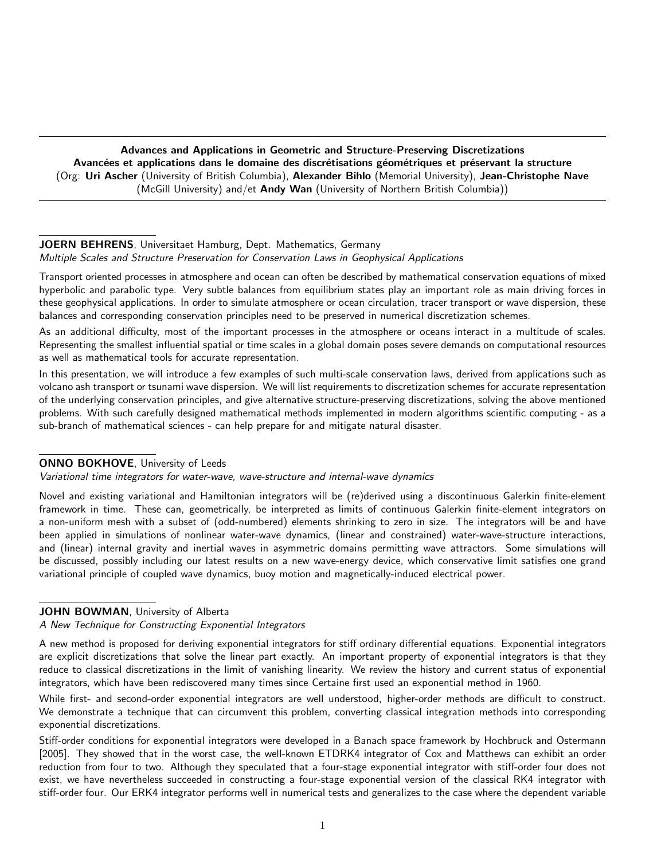Advances and Applications in Geometric and Structure-Preserving Discretizations Avancées et applications dans le domaine des discrétisations géométriques et préservant la structure (Org: Uri Ascher (University of British Columbia), Alexander Bihlo (Memorial University), Jean-Christophe Nave (McGill University) and/et Andy Wan (University of Northern British Columbia))

## JOERN BEHRENS, Universitaet Hamburg, Dept. Mathematics, Germany Multiple Scales and Structure Preservation for Conservation Laws in Geophysical Applications

Transport oriented processes in atmosphere and ocean can often be described by mathematical conservation equations of mixed hyperbolic and parabolic type. Very subtle balances from equilibrium states play an important role as main driving forces in these geophysical applications. In order to simulate atmosphere or ocean circulation, tracer transport or wave dispersion, these balances and corresponding conservation principles need to be preserved in numerical discretization schemes.

As an additional difficulty, most of the important processes in the atmosphere or oceans interact in a multitude of scales. Representing the smallest influential spatial or time scales in a global domain poses severe demands on computational resources as well as mathematical tools for accurate representation.

In this presentation, we will introduce a few examples of such multi-scale conservation laws, derived from applications such as volcano ash transport or tsunami wave dispersion. We will list requirements to discretization schemes for accurate representation of the underlying conservation principles, and give alternative structure-preserving discretizations, solving the above mentioned problems. With such carefully designed mathematical methods implemented in modern algorithms scientific computing - as a sub-branch of mathematical sciences - can help prepare for and mitigate natural disaster.

## ONNO BOKHOVE, University of Leeds

Variational time integrators for water-wave, wave-structure and internal-wave dynamics

Novel and existing variational and Hamiltonian integrators will be (re)derived using a discontinuous Galerkin finite-element framework in time. These can, geometrically, be interpreted as limits of continuous Galerkin finite-element integrators on a non-uniform mesh with a subset of (odd-numbered) elements shrinking to zero in size. The integrators will be and have been applied in simulations of nonlinear water-wave dynamics, (linear and constrained) water-wave-structure interactions, and (linear) internal gravity and inertial waves in asymmetric domains permitting wave attractors. Some simulations will be discussed, possibly including our latest results on a new wave-energy device, which conservative limit satisfies one grand variational principle of coupled wave dynamics, buoy motion and magnetically-induced electrical power.

# JOHN BOWMAN, University of Alberta

A New Technique for Constructing Exponential Integrators

A new method is proposed for deriving exponential integrators for stiff ordinary differential equations. Exponential integrators are explicit discretizations that solve the linear part exactly. An important property of exponential integrators is that they reduce to classical discretizations in the limit of vanishing linearity. We review the history and current status of exponential integrators, which have been rediscovered many times since Certaine first used an exponential method in 1960.

While first- and second-order exponential integrators are well understood, higher-order methods are difficult to construct. We demonstrate a technique that can circumvent this problem, converting classical integration methods into corresponding exponential discretizations.

Stiff-order conditions for exponential integrators were developed in a Banach space framework by Hochbruck and Ostermann [2005]. They showed that in the worst case, the well-known ETDRK4 integrator of Cox and Matthews can exhibit an order reduction from four to two. Although they speculated that a four-stage exponential integrator with stiff-order four does not exist, we have nevertheless succeeded in constructing a four-stage exponential version of the classical RK4 integrator with stiff-order four. Our ERK4 integrator performs well in numerical tests and generalizes to the case where the dependent variable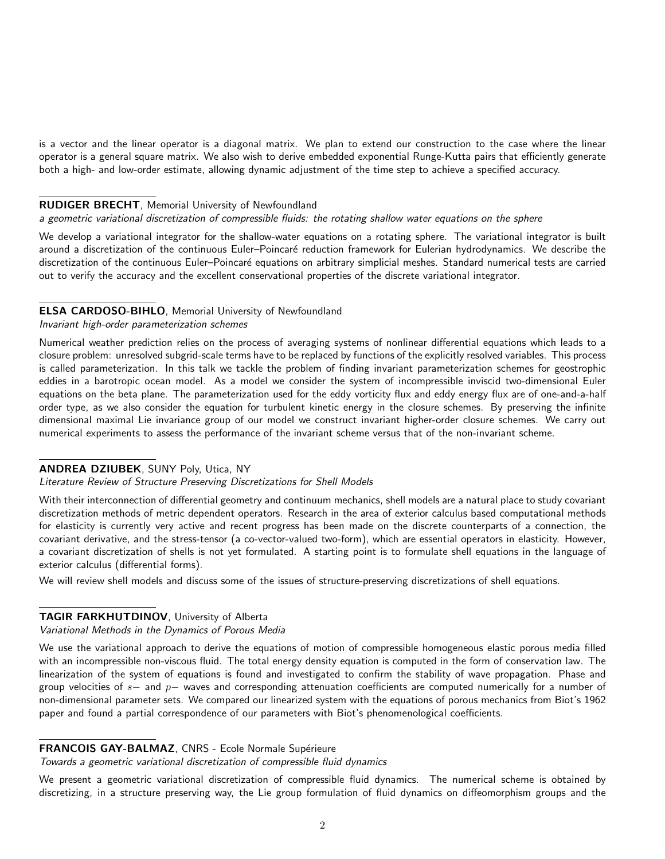is a vector and the linear operator is a diagonal matrix. We plan to extend our construction to the case where the linear operator is a general square matrix. We also wish to derive embedded exponential Runge-Kutta pairs that efficiently generate both a high- and low-order estimate, allowing dynamic adjustment of the time step to achieve a specified accuracy.

### RUDIGER BRECHT, Memorial University of Newfoundland

# a geometric variational discretization of compressible fluids: the rotating shallow water equations on the sphere

We develop a variational integrator for the shallow-water equations on a rotating sphere. The variational integrator is built around a discretization of the continuous Euler–Poincaré reduction framework for Eulerian hydrodynamics. We describe the discretization of the continuous Euler–Poincaré equations on arbitrary simplicial meshes. Standard numerical tests are carried out to verify the accuracy and the excellent conservational properties of the discrete variational integrator.

## ELSA CARDOSO-BIHLO, Memorial University of Newfoundland

#### Invariant high-order parameterization schemes

Numerical weather prediction relies on the process of averaging systems of nonlinear differential equations which leads to a closure problem: unresolved subgrid-scale terms have to be replaced by functions of the explicitly resolved variables. This process is called parameterization. In this talk we tackle the problem of finding invariant parameterization schemes for geostrophic eddies in a barotropic ocean model. As a model we consider the system of incompressible inviscid two-dimensional Euler equations on the beta plane. The parameterization used for the eddy vorticity flux and eddy energy flux are of one-and-a-half order type, as we also consider the equation for turbulent kinetic energy in the closure schemes. By preserving the infinite dimensional maximal Lie invariance group of our model we construct invariant higher-order closure schemes. We carry out numerical experiments to assess the performance of the invariant scheme versus that of the non-invariant scheme.

### ANDREA DZIUBEK, SUNY Poly, Utica, NY

## Literature Review of Structure Preserving Discretizations for Shell Models

With their interconnection of differential geometry and continuum mechanics, shell models are a natural place to study covariant discretization methods of metric dependent operators. Research in the area of exterior calculus based computational methods for elasticity is currently very active and recent progress has been made on the discrete counterparts of a connection, the covariant derivative, and the stress-tensor (a co-vector-valued two-form), which are essential operators in elasticity. However, a covariant discretization of shells is not yet formulated. A starting point is to formulate shell equations in the language of exterior calculus (differential forms).

We will review shell models and discuss some of the issues of structure-preserving discretizations of shell equations.

## TAGIR FARKHUTDINOV, University of Alberta

#### Variational Methods in the Dynamics of Porous Media

We use the variational approach to derive the equations of motion of compressible homogeneous elastic porous media filled with an incompressible non-viscous fluid. The total energy density equation is computed in the form of conservation law. The linearization of the system of equations is found and investigated to confirm the stability of wave propagation. Phase and group velocities of s– and p– waves and corresponding attenuation coefficients are computed numerically for a number of non-dimensional parameter sets. We compared our linearized system with the equations of porous mechanics from Biot's 1962 paper and found a partial correspondence of our parameters with Biot's phenomenological coefficients.

#### FRANCOIS GAY-BALMAZ, CNRS - Ecole Normale Supérieure

Towards a geometric variational discretization of compressible fluid dynamics

We present a geometric variational discretization of compressible fluid dynamics. The numerical scheme is obtained by discretizing, in a structure preserving way, the Lie group formulation of fluid dynamics on diffeomorphism groups and the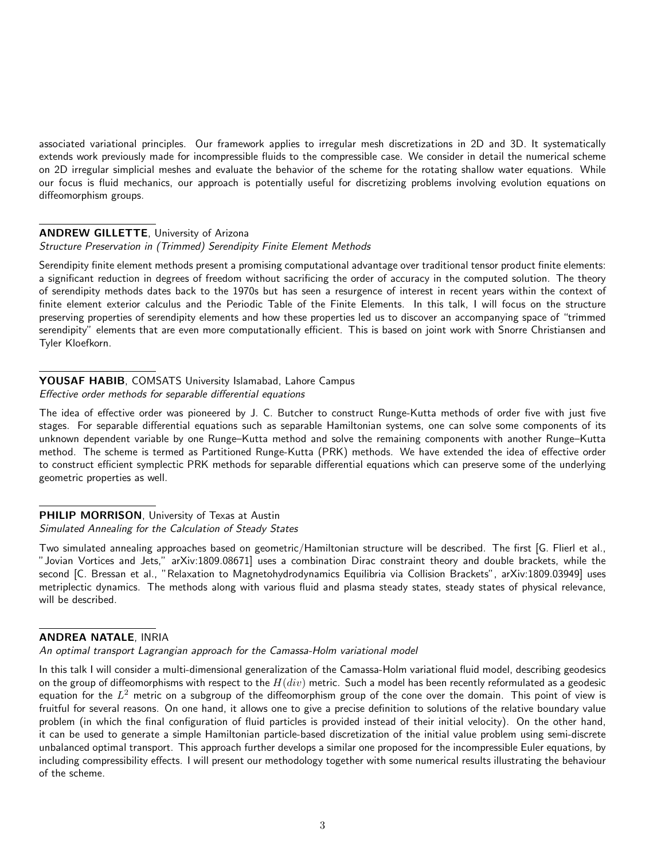associated variational principles. Our framework applies to irregular mesh discretizations in 2D and 3D. It systematically extends work previously made for incompressible fluids to the compressible case. We consider in detail the numerical scheme on 2D irregular simplicial meshes and evaluate the behavior of the scheme for the rotating shallow water equations. While our focus is fluid mechanics, our approach is potentially useful for discretizing problems involving evolution equations on diffeomorphism groups.

## ANDREW GILLETTE, University of Arizona

#### Structure Preservation in (Trimmed) Serendipity Finite Element Methods

Serendipity finite element methods present a promising computational advantage over traditional tensor product finite elements: a significant reduction in degrees of freedom without sacrificing the order of accuracy in the computed solution. The theory of serendipity methods dates back to the 1970s but has seen a resurgence of interest in recent years within the context of finite element exterior calculus and the Periodic Table of the Finite Elements. In this talk, I will focus on the structure preserving properties of serendipity elements and how these properties led us to discover an accompanying space of "trimmed serendipity" elements that are even more computationally efficient. This is based on joint work with Snorre Christiansen and Tyler Kloefkorn.

## YOUSAF HABIB, COMSATS University Islamabad, Lahore Campus Effective order methods for separable differential equations

The idea of effective order was pioneered by J. C. Butcher to construct Runge-Kutta methods of order five with just five stages. For separable differential equations such as separable Hamiltonian systems, one can solve some components of its unknown dependent variable by one Runge–Kutta method and solve the remaining components with another Runge–Kutta method. The scheme is termed as Partitioned Runge-Kutta (PRK) methods. We have extended the idea of effective order to construct efficient symplectic PRK methods for separable differential equations which can preserve some of the underlying geometric properties as well.

## PHILIP MORRISON, University of Texas at Austin Simulated Annealing for the Calculation of Steady States

Two simulated annealing approaches based on geometric/Hamiltonian structure will be described. The first [G. Flierl et al., "Jovian Vortices and Jets," arXiv:1809.08671] uses a combination Dirac constraint theory and double brackets, while the second [C. Bressan et al., "Relaxation to Magnetohydrodynamics Equilibria via Collision Brackets", arXiv:1809.03949] uses metriplectic dynamics. The methods along with various fluid and plasma steady states, steady states of physical relevance, will be described.

## ANDREA NATALE, INRIA

## An optimal transport Lagrangian approach for the Camassa-Holm variational model

In this talk I will consider a multi-dimensional generalization of the Camassa-Holm variational fluid model, describing geodesics on the group of diffeomorphisms with respect to the  $H(div)$  metric. Such a model has been recently reformulated as a geodesic equation for the  $L^2$  metric on a subgroup of the diffeomorphism group of the cone over the domain. This point of view is fruitful for several reasons. On one hand, it allows one to give a precise definition to solutions of the relative boundary value problem (in which the final configuration of fluid particles is provided instead of their initial velocity). On the other hand, it can be used to generate a simple Hamiltonian particle-based discretization of the initial value problem using semi-discrete unbalanced optimal transport. This approach further develops a similar one proposed for the incompressible Euler equations, by including compressibility effects. I will present our methodology together with some numerical results illustrating the behaviour of the scheme.